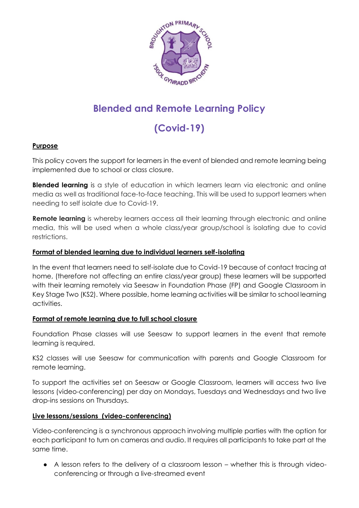

# **Blended and Remote Learning Policy**

# **(Covid-19)**

# **Purpose**

This policy covers the support for learners in the event of blended and remote learning being implemented due to school or class closure.

**Blended learning** is a style of education in which learners learn via electronic and online media as well as traditional face-to-face teaching. This will be used to support learners when needing to self isolate due to Covid-19.

**Remote learning** is whereby learners access all their learning through electronic and online media, this will be used when a whole class/year group/school is isolating due to covid restrictions.

# **Format of blended learning due to individual learners self-isolating**

In the event that learners need to self-isolate due to Covid-19 because of contact tracing at home, (therefore not affecting an entire class/year group) these learners will be supported with their learning remotely via Seesaw in Foundation Phase (FP) and Google Classroom in Key Stage Two (KS2). Where possible, home learning activities will be similar to school learning activities.

#### **Format of remote learning due to full school closure**

Foundation Phase classes will use Seesaw to support learners in the event that remote learning is required.

KS2 classes will use Seesaw for communication with parents and Google Classroom for remote learning.

To support the activities set on Seesaw or Google Classroom, learners will access two live lessons (video-conferencing) per day on Mondays, Tuesdays and Wednesdays and two live drop-ins sessions on Thursdays.

#### **Live lessons/sessions (video-conferencing)**

Video-conferencing is a synchronous approach involving multiple parties with the option for each participant to turn on cameras and audio. It requires all participants to take part at the same time.

● A lesson refers to the delivery of a classroom lesson – whether this is through videoconferencing or through a live-streamed event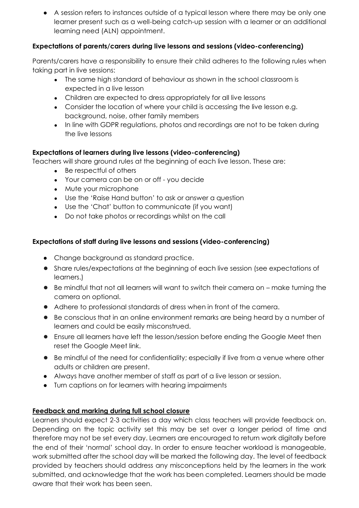● A session refers to instances outside of a typical lesson where there may be only one learner present such as a well-being catch-up session with a learner or an additional learning need (ALN) appointment.

# **Expectations of parents/carers during live lessons and sessions (video-conferencing)**

Parents/carers have a responsibility to ensure their child adheres to the following rules when taking part in live sessions:

- The same high standard of behaviour as shown in the school classroom is expected in a live lesson
- Children are expected to dress appropriately for all live lessons
- Consider the location of where your child is accessing the live lesson e.g. background, noise, other family members
- In line with GDPR regulations, photos and recordings are not to be taken during the live lessons

# **Expectations of learners during live lessons (video-conferencing)**

Teachers will share ground rules at the beginning of each live lesson. These are:

- Be respectful of others
- Your camera can be on or off you decide
- Mute your microphone
- Use the 'Raise Hand button' to ask or answer a question
- Use the 'Chat' button to communicate (if you want)
- Do not take photos or recordings whilst on the call

#### **Expectations of staff during live lessons and sessions (video-conferencing)**

- Change background as standard practice.
- Share rules/expectations at the beginning of each live session (see expectations of learners.)
- Be mindful that not all learners will want to switch their camera on make turning the camera on optional.
- Adhere to professional standards of dress when in front of the camera.
- Be conscious that in an online environment remarks are being heard by a number of learners and could be easily misconstrued.
- Ensure all learners have left the lesson/session before ending the Google Meet then reset the Google Meet link.
- Be mindful of the need for confidentiality; especially if live from a venue where other adults or children are present.
- Always have another member of staff as part of a live lesson or session.
- Turn captions on for learners with hearing impairments

#### **Feedback and marking during full school closure**

Learners should expect 2-3 activities a day which class teachers will provide feedback on. Depending on the topic activity set this may be set over a longer period of time and therefore may not be set every day. Learners are encouraged to return work digitally before the end of their 'normal' school day. In order to ensure teacher workload is manageable, work submitted after the school day will be marked the following day. The level of feedback provided by teachers should address any misconceptions held by the learners in the work submitted, and acknowledge that the work has been completed. Learners should be made aware that their work has been seen.